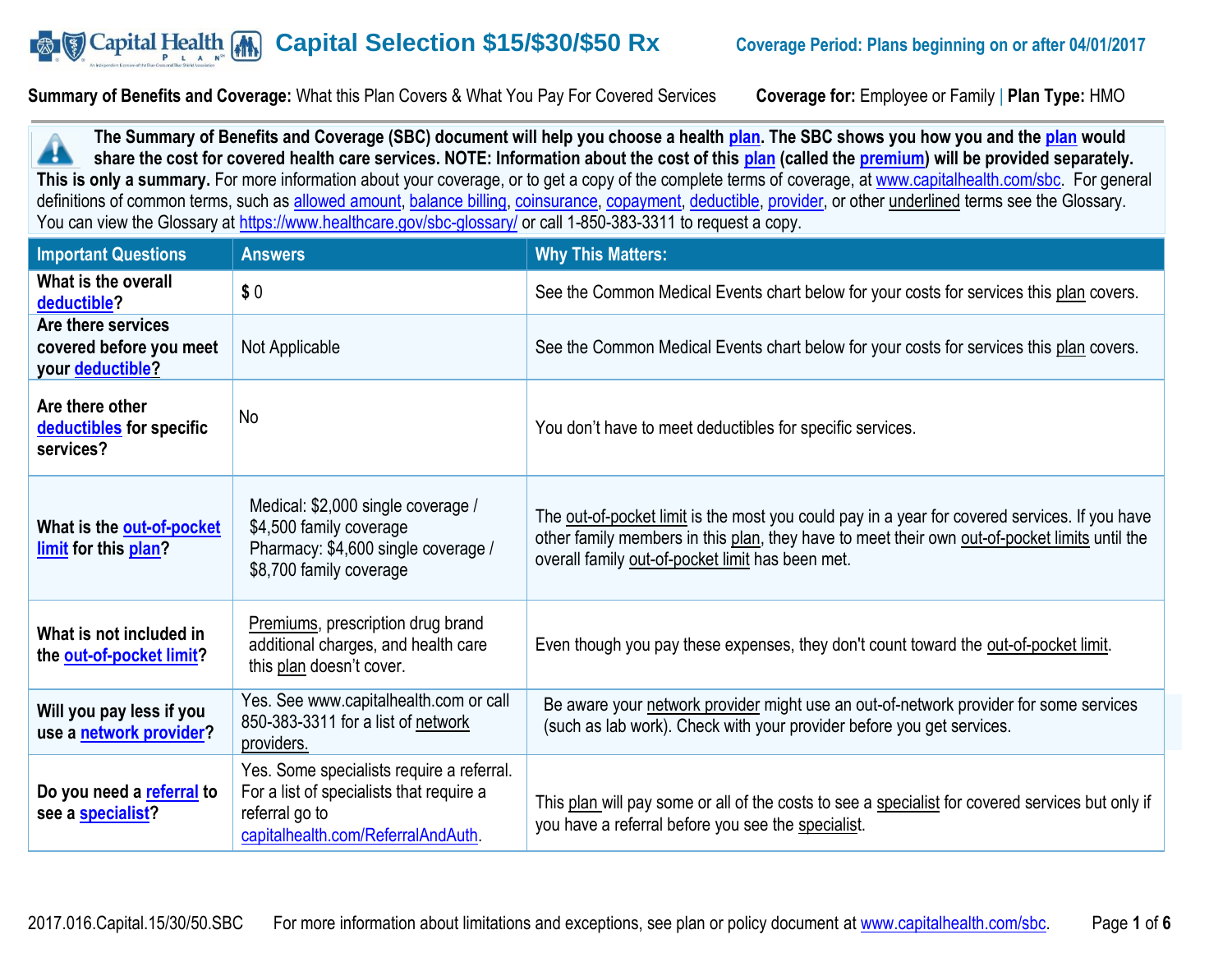#### **B The Capital Health** (A) **Capital Selection \$15/\$30/\$50 Rx Coverage Period: Plans beginning on or after 04/01/2017**

**Summary of Benefits and Coverage:** What this Plan Covers & What You Pay For Covered Services **Coverage for:** Employee or Family | **Plan Type:** HMO

**The Summary of Benefits and Coverage (SBC) document will help you choose a health [plan.](https://www.healthcare.gov/sbc-glossary/#plan) The SBC shows you how you and the [plan](https://www.healthcare.gov/sbc-glossary/#plan) would**  Æ **share the cost for covered health care services. NOTE: Information about the cost of this [plan](https://www.healthcare.gov/sbc-glossary/#plan) (called the [premium\)](https://www.healthcare.gov/sbc-glossary/#premium) will be provided separately.** This is only a summary. For more information about your coverage, or to get a copy of the complete terms of coverage, at [www.capitalhealth.com/sbc.](http://www.capitalhealth.com/sbc) For general definitions of common terms, such as [allowed amount,](https://www.healthcare.gov/sbc-glossary/#allowed-amount) [balance billing,](https://www.healthcare.gov/sbc-glossary/#balance-billing) [coinsurance,](https://www.healthcare.gov/sbc-glossary/#coinsurance) [copayment,](https://www.healthcare.gov/sbc-glossary/#copayment) [deductible,](https://www.healthcare.gov/sbc-glossary/#deductible) [provider,](https://www.healthcare.gov/sbc-glossary/#provider) or other underlined terms see the Glossary. You can view the Glossary at<https://www.healthcare.gov/sbc-glossary/> or call 1-850-383-3311 to request a copy.

| <b>Important Questions</b>                                        | <b>Answers</b>                                                                                                                                | <b>Why This Matters:</b>                                                                                                                                                                                                                           |
|-------------------------------------------------------------------|-----------------------------------------------------------------------------------------------------------------------------------------------|----------------------------------------------------------------------------------------------------------------------------------------------------------------------------------------------------------------------------------------------------|
| What is the overall<br>deductible?                                | \$0                                                                                                                                           | See the Common Medical Events chart below for your costs for services this plan covers.                                                                                                                                                            |
| Are there services<br>covered before you meet<br>your deductible? | Not Applicable                                                                                                                                | See the Common Medical Events chart below for your costs for services this plan covers.                                                                                                                                                            |
| Are there other<br>deductibles for specific<br>services?          | No                                                                                                                                            | You don't have to meet deductibles for specific services.                                                                                                                                                                                          |
| What is the out-of-pocket<br>limit for this plan?                 | Medical: \$2,000 single coverage /<br>\$4,500 family coverage<br>Pharmacy: \$4,600 single coverage /<br>\$8,700 family coverage               | The out-of-pocket limit is the most you could pay in a year for covered services. If you have<br>other family members in this plan, they have to meet their own out-of-pocket limits until the<br>overall family out-of-pocket limit has been met. |
| What is not included in<br>the out-of-pocket limit?               | Premiums, prescription drug brand<br>additional charges, and health care<br>this plan doesn't cover.                                          | Even though you pay these expenses, they don't count toward the out-of-pocket limit.                                                                                                                                                               |
| Will you pay less if you<br>use a network provider?               | Yes. See www.capitalhealth.com or call<br>850-383-3311 for a list of network<br>providers.                                                    | Be aware your network provider might use an out-of-network provider for some services<br>(such as lab work). Check with your provider before you get services.                                                                                     |
| Do you need a referral to<br>see a specialist?                    | Yes. Some specialists require a referral.<br>For a list of specialists that require a<br>referral go to<br>capitalhealth.com/ReferralAndAuth. | This plan will pay some or all of the costs to see a specialist for covered services but only if<br>you have a referral before you see the specialist.                                                                                             |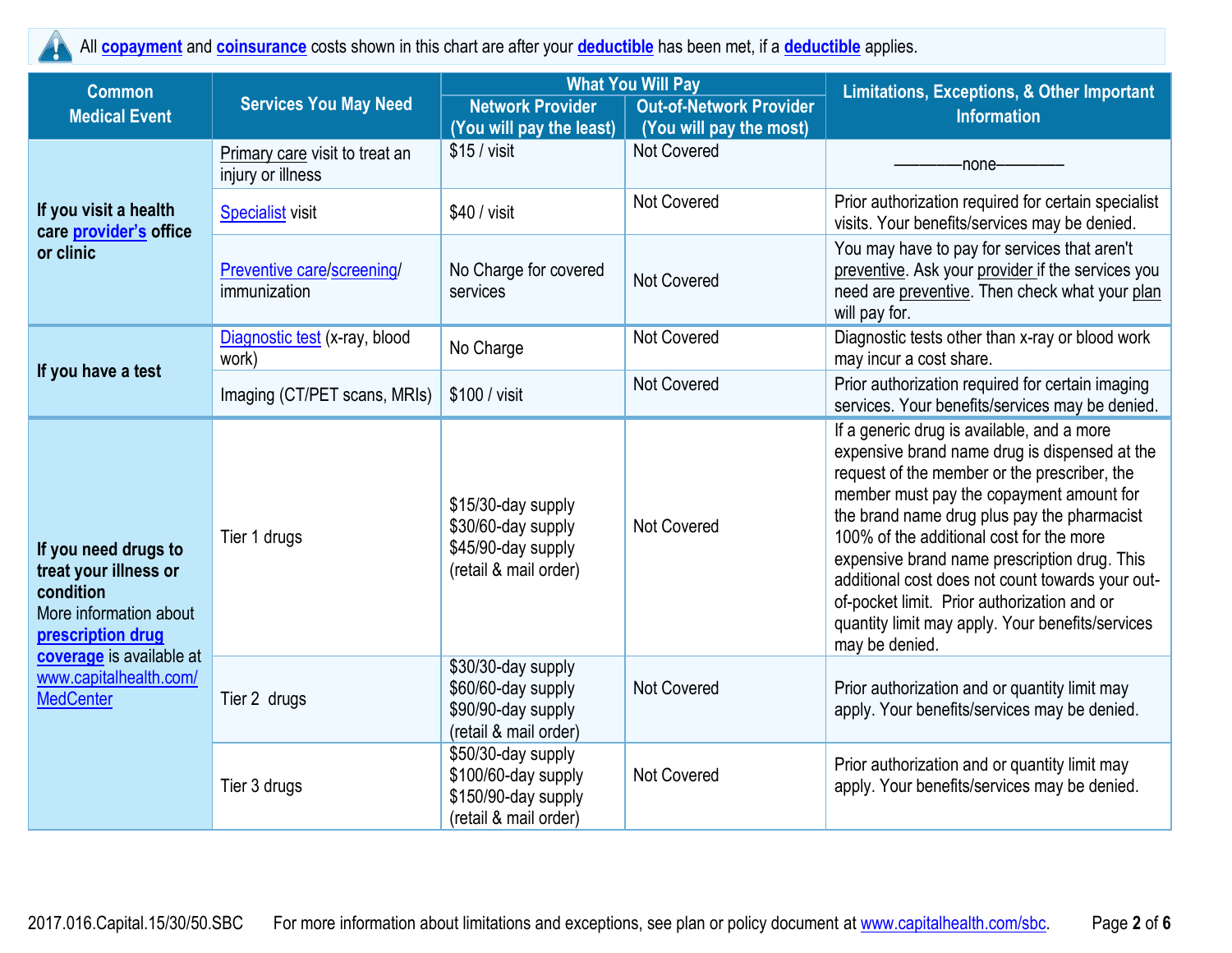All **[copayment](https://www.healthcare.gov/sbc-glossary/#copayment)** and **[coinsurance](https://www.healthcare.gov/sbc-glossary/#coinsurance)** costs shown in this chart are after your **[deductible](https://www.healthcare.gov/sbc-glossary/#deductible)** has been met, if a **[deductible](https://www.healthcare.gov/sbc-glossary/#deductible)** applies.

| <b>Common</b>                                                                                                                                                                       |                                                     | <b>What You Will Pay</b>                                                                  |                                                           | <b>Limitations, Exceptions, &amp; Other Important</b>                                                                                                                                                                                                                                                                                                                                                                                                                                                       |  |
|-------------------------------------------------------------------------------------------------------------------------------------------------------------------------------------|-----------------------------------------------------|-------------------------------------------------------------------------------------------|-----------------------------------------------------------|-------------------------------------------------------------------------------------------------------------------------------------------------------------------------------------------------------------------------------------------------------------------------------------------------------------------------------------------------------------------------------------------------------------------------------------------------------------------------------------------------------------|--|
| <b>Medical Event</b>                                                                                                                                                                | <b>Services You May Need</b>                        | <b>Network Provider</b><br>(You will pay the least)                                       | <b>Out-of-Network Provider</b><br>(You will pay the most) | <b>Information</b>                                                                                                                                                                                                                                                                                                                                                                                                                                                                                          |  |
|                                                                                                                                                                                     | Primary care visit to treat an<br>injury or illness | $$15 /$ visit                                                                             | <b>Not Covered</b>                                        | -none-                                                                                                                                                                                                                                                                                                                                                                                                                                                                                                      |  |
| If you visit a health<br>care provider's office                                                                                                                                     | <b>Specialist visit</b>                             | \$40 / <i>v</i> isit                                                                      | <b>Not Covered</b>                                        | Prior authorization required for certain specialist<br>visits. Your benefits/services may be denied.                                                                                                                                                                                                                                                                                                                                                                                                        |  |
| or clinic                                                                                                                                                                           | Preventive care/screening/<br>immunization          | No Charge for covered<br>services                                                         | Not Covered                                               | You may have to pay for services that aren't<br>preventive. Ask your provider if the services you<br>need are preventive. Then check what your plan<br>will pay for.                                                                                                                                                                                                                                                                                                                                        |  |
| If you have a test                                                                                                                                                                  | Diagnostic test (x-ray, blood<br>work)              | No Charge                                                                                 | Not Covered                                               | Diagnostic tests other than x-ray or blood work<br>may incur a cost share.                                                                                                                                                                                                                                                                                                                                                                                                                                  |  |
|                                                                                                                                                                                     | Imaging (CT/PET scans, MRIs)                        | \$100 / visit                                                                             | Not Covered                                               | Prior authorization required for certain imaging<br>services. Your benefits/services may be denied.                                                                                                                                                                                                                                                                                                                                                                                                         |  |
| If you need drugs to<br>treat your illness or<br>condition<br>More information about<br>prescription drug<br>coverage is available at<br>www.capitalhealth.com/<br><b>MedCenter</b> | Tier 1 drugs                                        | \$15/30-day supply<br>\$30/60-day supply<br>\$45/90-day supply<br>(retail & mail order)   | Not Covered                                               | If a generic drug is available, and a more<br>expensive brand name drug is dispensed at the<br>request of the member or the prescriber, the<br>member must pay the copayment amount for<br>the brand name drug plus pay the pharmacist<br>100% of the additional cost for the more<br>expensive brand name prescription drug. This<br>additional cost does not count towards your out-<br>of-pocket limit. Prior authorization and or<br>quantity limit may apply. Your benefits/services<br>may be denied. |  |
|                                                                                                                                                                                     | Tier 2 drugs                                        | \$30/30-day supply<br>\$60/60-day supply<br>\$90/90-day supply<br>(retail & mail order)   | Not Covered                                               | Prior authorization and or quantity limit may<br>apply. Your benefits/services may be denied.                                                                                                                                                                                                                                                                                                                                                                                                               |  |
|                                                                                                                                                                                     | Tier 3 drugs                                        | \$50/30-day supply<br>\$100/60-day supply<br>\$150/90-day supply<br>(retail & mail order) | Not Covered                                               | Prior authorization and or quantity limit may<br>apply. Your benefits/services may be denied.                                                                                                                                                                                                                                                                                                                                                                                                               |  |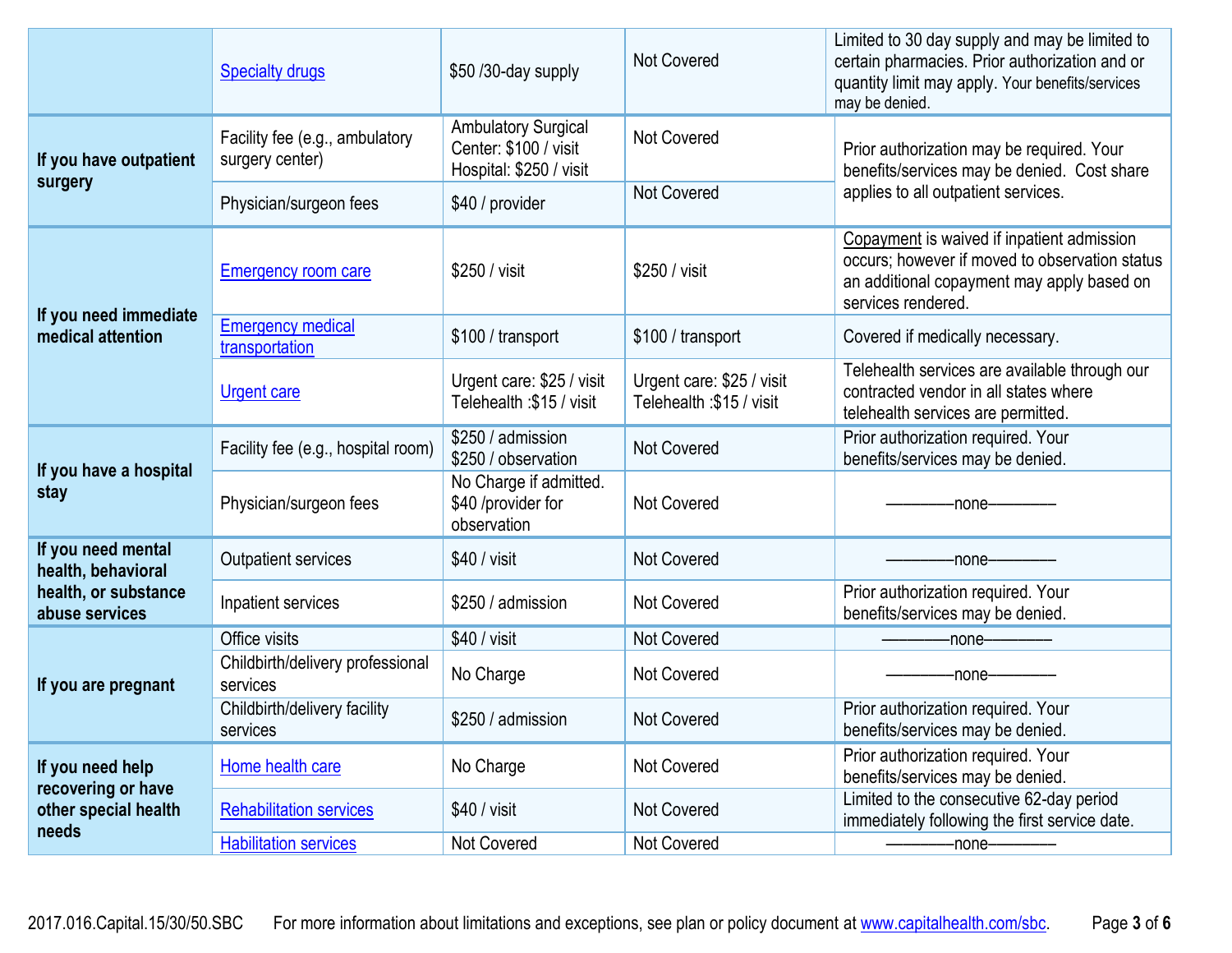|                                                     | <b>Specialty drugs</b>                            | \$50 /30-day supply                                                            | Not Covered                                           | Limited to 30 day supply and may be limited to<br>certain pharmacies. Prior authorization and or<br>quantity limit may apply. Your benefits/services<br>may be denied. |  |
|-----------------------------------------------------|---------------------------------------------------|--------------------------------------------------------------------------------|-------------------------------------------------------|------------------------------------------------------------------------------------------------------------------------------------------------------------------------|--|
| If you have outpatient                              | Facility fee (e.g., ambulatory<br>surgery center) | <b>Ambulatory Surgical</b><br>Center: \$100 / visit<br>Hospital: \$250 / visit | <b>Not Covered</b>                                    | Prior authorization may be required. Your<br>benefits/services may be denied. Cost share                                                                               |  |
| surgery                                             | Physician/surgeon fees                            | \$40 / provider                                                                | Not Covered                                           | applies to all outpatient services.                                                                                                                                    |  |
| If you need immediate                               | <b>Emergency room care</b>                        | \$250 / visit                                                                  | \$250 / visit                                         | Copayment is waived if inpatient admission<br>occurs; however if moved to observation status<br>an additional copayment may apply based on<br>services rendered.       |  |
| medical attention                                   | <b>Emergency medical</b><br>transportation        | \$100 / transport                                                              | \$100 / transport                                     | Covered if medically necessary.                                                                                                                                        |  |
|                                                     | <b>Urgent care</b>                                | Urgent care: \$25 / visit<br>Telehealth: \$15 / visit                          | Urgent care: \$25 / visit<br>Telehealth: \$15 / visit | Telehealth services are available through our<br>contracted vendor in all states where<br>telehealth services are permitted.                                           |  |
|                                                     | Facility fee (e.g., hospital room)                | \$250 / admission<br>\$250 / observation                                       | Not Covered                                           | Prior authorization required. Your<br>benefits/services may be denied.                                                                                                 |  |
| If you have a hospital<br>stay                      | Physician/surgeon fees                            | No Charge if admitted.<br>\$40 /provider for<br>observation                    | Not Covered                                           | -none-                                                                                                                                                                 |  |
| If you need mental<br>health, behavioral            | <b>Outpatient services</b>                        | $$40 /$ visit                                                                  | <b>Not Covered</b>                                    | -none-                                                                                                                                                                 |  |
| health, or substance<br>abuse services              | Inpatient services                                | \$250 / admission                                                              | Not Covered                                           | Prior authorization required. Your<br>benefits/services may be denied.                                                                                                 |  |
|                                                     | Office visits                                     | $$40 / v$ isit                                                                 | Not Covered                                           | -none-                                                                                                                                                                 |  |
| If you are pregnant                                 | Childbirth/delivery professional<br>services      | No Charge                                                                      | <b>Not Covered</b>                                    | -none-                                                                                                                                                                 |  |
|                                                     | Childbirth/delivery facility<br>services          | \$250 / admission                                                              | Not Covered                                           | Prior authorization required. Your<br>benefits/services may be denied.                                                                                                 |  |
| If you need help                                    | Home health care                                  | No Charge                                                                      | Not Covered                                           | Prior authorization required. Your<br>benefits/services may be denied.                                                                                                 |  |
| recovering or have<br>other special health<br>needs | <b>Rehabilitation services</b>                    | \$40 / visit                                                                   | <b>Not Covered</b>                                    | Limited to the consecutive 62-day period<br>immediately following the first service date.                                                                              |  |
|                                                     | <b>Habilitation services</b>                      | Not Covered                                                                    | Not Covered                                           | -none-                                                                                                                                                                 |  |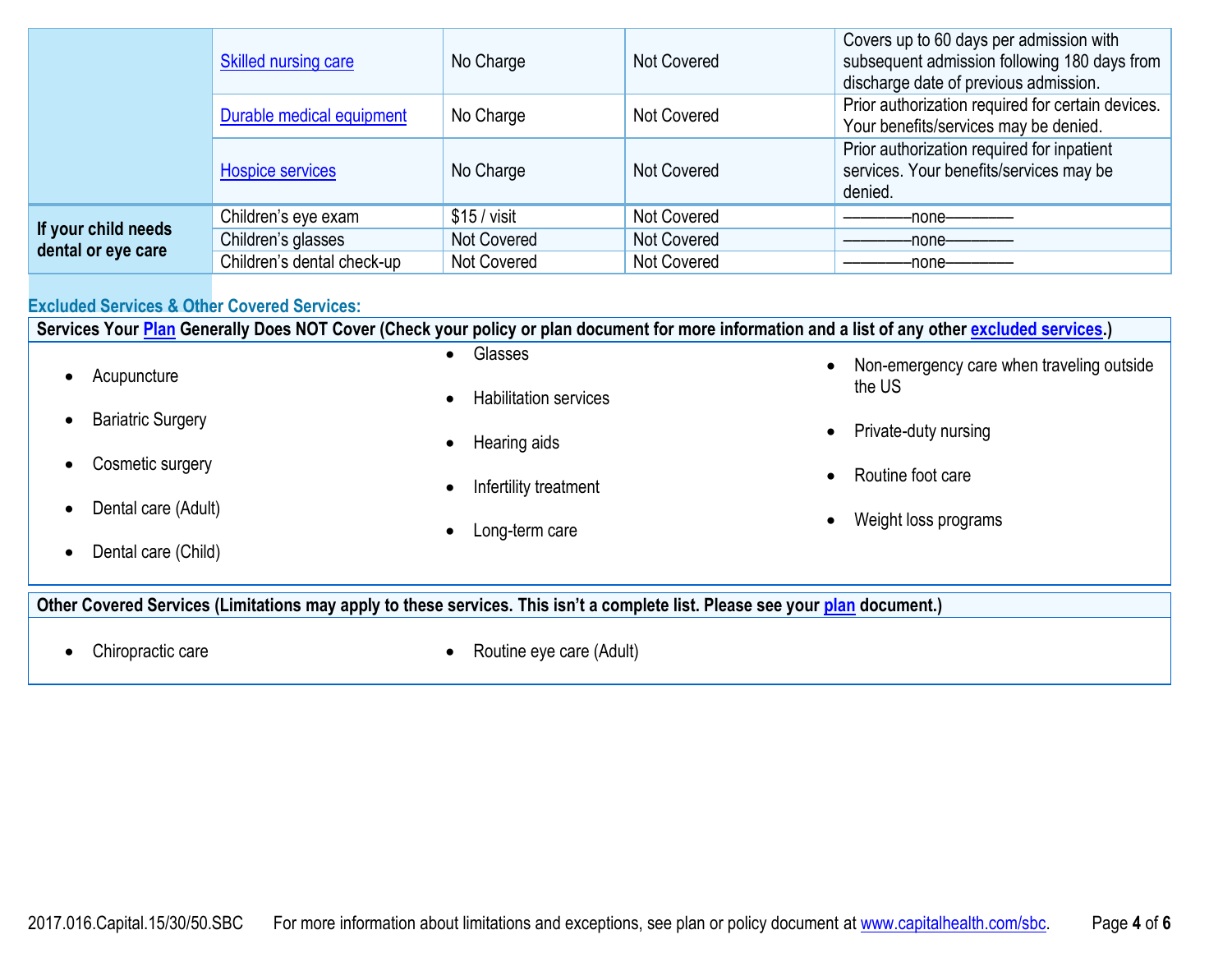|                                           | Skilled nursing care       | No Charge    | <b>Not Covered</b> | Covers up to 60 days per admission with<br>subsequent admission following 180 days from<br>discharge date of previous admission. |
|-------------------------------------------|----------------------------|--------------|--------------------|----------------------------------------------------------------------------------------------------------------------------------|
|                                           | Durable medical equipment  | No Charge    | Not Covered        | Prior authorization required for certain devices.<br>Your benefits/services may be denied.                                       |
|                                           | <b>Hospice services</b>    | No Charge    | <b>Not Covered</b> | Prior authorization required for inpatient<br>services. Your benefits/services may be<br>denied.                                 |
|                                           | Children's eye exam        | $$15/$ visit | Not Covered        | -none-                                                                                                                           |
| If your child needs<br>dental or eye care | Children's glasses         | Not Covered  | <b>Not Covered</b> | -none—                                                                                                                           |
|                                           | Children's dental check-up | Not Covered  | Not Covered        | -none-                                                                                                                           |

## **Excluded Services & Other Covered Services:**

**Services Your [Plan](https://www.healthcare.gov/sbc-glossary/#plan) Generally Does NOT Cover (Check your policy or plan document for more information and a list of any other [excluded services.](https://www.healthcare.gov/sbc-glossary/#excluded-services))**

|                               | Glasses                            | Non-emergency care when traveling outside<br>$\bullet$ |
|-------------------------------|------------------------------------|--------------------------------------------------------|
| Acupuncture                   | <b>Habilitation services</b>       | the US                                                 |
| <b>Bariatric Surgery</b>      |                                    | Private-duty nursing<br>$\bullet$                      |
| Cosmetic surgery<br>$\bullet$ | Hearing aids<br>$\bullet$          |                                                        |
|                               | Infertility treatment<br>$\bullet$ | Routine foot care<br>$\bullet$                         |
| Dental care (Adult)           |                                    | Weight loss programs<br>$\bullet$                      |
| Dental care (Child)           | Long-term care<br>$\bullet$        |                                                        |

**Other Covered Services (Limitations may apply to these services. This isn't a complete list. Please see your [plan](https://www.healthcare.gov/sbc-glossary/#plan) document.)**

- 
- Chiropractic care **Chiropractic care Routine eye care (Adult)**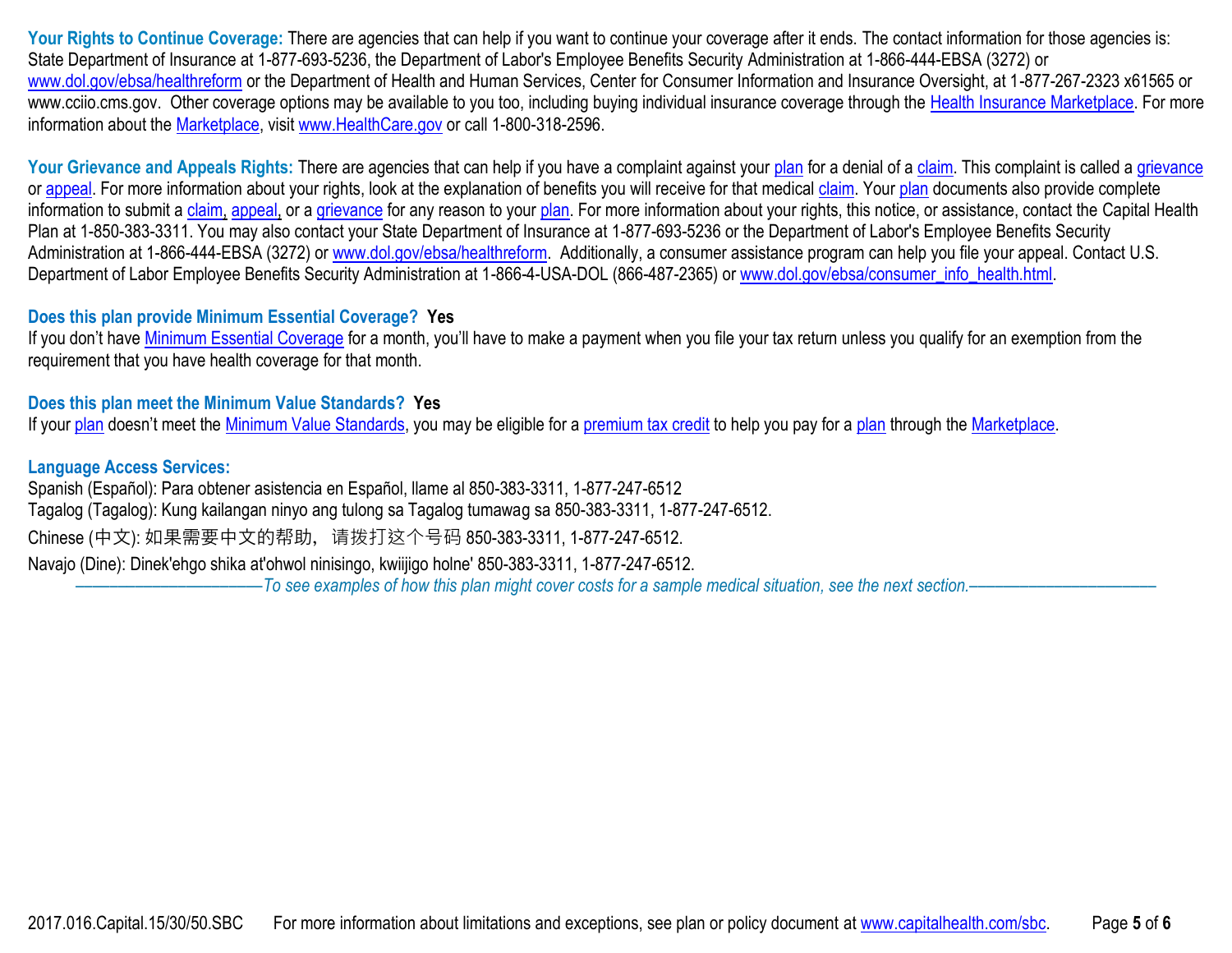Your Rights to Continue Coverage: There are agencies that can help if you want to continue your coverage after it ends. The contact information for those agencies is: State Department of Insurance at 1-877-693-5236, the Department of Labor's Employee Benefits Security Administration at 1-866-444-EBSA (3272) or [www.dol.gov/ebsa/healthreform](http://www.dol.gov/ebsa/healthreform) or the Department of Health and Human Services, Center for Consumer Information and Insurance Oversight, at 1-877-267-2323 x61565 or www.cciio.cms.gov. Other coverage options may be available to you too, including buying individual insurance coverage through the [Health Insurance Marketplace.](https://www.healthcare.gov/sbc-glossary/#marketplace) For more information about the [Marketplace,](https://www.healthcare.gov/sbc-glossary/#marketplace) visit [www.HealthCare.gov](http://www.healthcare.gov/) or call 1-800-318-2596.

Your Grievance and Appeals Rights: There are agencies that can help if you have a complaint against your [plan](https://www.healthcare.gov/sbc-glossary/#plan) for a denial of a [claim.](https://www.healthcare.gov/sbc-glossary/#claim) This complaint is called a [grievance](https://www.healthcare.gov/sbc-glossary/#grievance) or [appeal.](https://www.healthcare.gov/sbc-glossary/#appeal) For more information about your rights, look at the explanation of benefits you will receive for that medical [claim.](https://www.healthcare.gov/sbc-glossary/#claim) Your [plan](https://www.healthcare.gov/sbc-glossary/#plan) documents also provide complete information to submit a [claim,](https://www.healthcare.gov/sbc-glossary/#claim) [appeal,](https://www.healthcare.gov/sbc-glossary/#appeal) or a [grievance](https://www.healthcare.gov/sbc-glossary/#grievance) for any reason to your [plan.](https://www.healthcare.gov/sbc-glossary/#plan) For more information about your rights, this notice, or assistance, contact the Capital Health Plan at 1-850-383-3311. You may also contact your State Department of Insurance at 1-877-693-5236 or the Department of Labor's Employee Benefits Security Administration at 1-866-444-EBSA (3272) or [www.dol.gov/ebsa/healthreform.](http://www.dol.gov/ebsa/healthreform) Additionally, a consumer assistance program can help you file your appeal. Contact U.S. Department of Labor Employee Benefits Security Administration at 1-866-4-USA-DOL (866-487-2365) or [www.dol.gov/ebsa/consumer\\_info\\_health.html.](http://www.dol.gov/ebsa/consumer_info_health.html)

#### **Does this plan provide Minimum Essential Coverage? Yes**

If you don't have [Minimum Essential Coverage](https://www.healthcare.gov/sbc-glossary/#minimum-essential-coverage) for a month, you'll have to make a payment when you file your tax return unless you qualify for an exemption from the requirement that you have health coverage for that month.

## **Does this plan meet the Minimum Value Standards? Yes**

If your [plan](https://www.healthcare.gov/sbc-glossary/#plan) doesn't meet the [Minimum Value Standards,](https://www.healthcare.gov/sbc-glossary/#minimum-value-standard) you may be eligible for a [premium tax credit](https://www.healthcare.gov/sbc-glossary/#premium-tax-credits) to help you pay for a plan through the [Marketplace.](https://www.healthcare.gov/sbc-glossary/#marketplace)

#### **Language Access Services:**

Spanish (Español): Para obtener asistencia en Español, llame al 850-383-3311, 1-877-247-6512 Tagalog (Tagalog): Kung kailangan ninyo ang tulong sa Tagalog tumawag sa 850-383-3311, 1-877-247-6512. Chinese (中文): 如果需要中文的帮助,请拨打这个号码 850-383-3311, 1-877-247-6512. Navajo (Dine): Dinek'ehgo shika at'ohwol ninisingo, kwiijigo holne' 850-383-3311, 1-877-247-6512. ––––––––––––––––––––––*To see examples of how this plan might cover costs for a sample medical situation, see the next section.–––––––––––*–––––––––––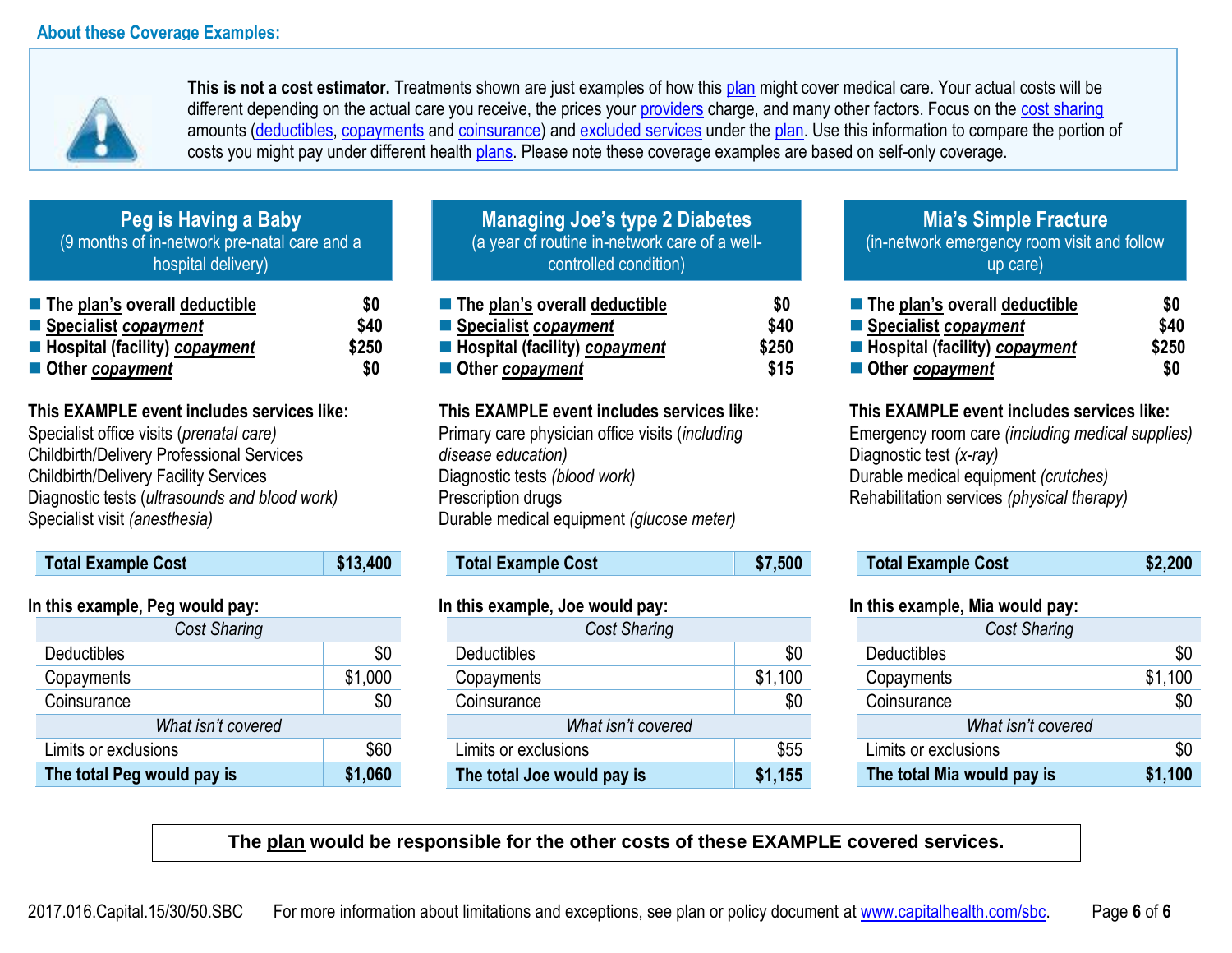

**This is not a cost estimator.** Treatments shown are just examples of how this [plan](https://www.healthcare.gov/sbc-glossary/#plan) might cover medical care. Your actual costs will be different depending on the actual care you receive, the prices your [providers](https://www.healthcare.gov/sbc-glossary/#provider) charge, and many other factors. Focus on the [cost sharing](https://www.healthcare.gov/sbc-glossary/#cost-sharing) amounts [\(deductibles,](https://www.healthcare.gov/sbc-glossary/#deductible) [copayments](https://www.healthcare.gov/sbc-glossary/#copayment) and [coinsurance\)](https://www.healthcare.gov/sbc-glossary/#coinsurance) and [excluded services](https://www.healthcare.gov/sbc-glossary/#excluded-services) under the [plan.](https://www.healthcare.gov/sbc-glossary/#plan) Use this information to compare the portion of costs you might pay under different health [plans.](https://www.healthcare.gov/sbc-glossary/#plan) Please note these coverage examples are based on self-only coverage.

**Peg is Having a Baby** (9 months of in-network pre-natal care and a hospital delivery)

| $\blacksquare$ The plan's overall deductible | SO.   |
|----------------------------------------------|-------|
| ■ Specialist copayment                       | \$40  |
| Hospital (facility) copayment                | \$250 |
| ■ Other copayment                            | SO.   |

**This EXAMPLE event includes services like:** 

Specialist office visits (*prenatal care)* Childbirth/Delivery Professional Services Childbirth/Delivery Facility Services Diagnostic tests (*ultrasounds and blood work)* Specialist visit *(anesthesia)* 

| <b>Total Example Cost</b> | \$13,400 |
|---------------------------|----------|
|                           |          |

#### **In this example, Peg would pay:**

| <b>Cost Sharing</b>        |         |  |
|----------------------------|---------|--|
| <b>Deductibles</b>         | \$0     |  |
| Copayments                 | \$1,000 |  |
| Coinsurance                | \$0     |  |
| What isn't covered         |         |  |
| Limits or exclusions       | \$60    |  |
| The total Peg would pay is | \$1,060 |  |

| Managing Joe's type 2 Diabetes                |
|-----------------------------------------------|
| (a year of routine in-network care of a well- |
| controlled condition)                         |

| $\blacksquare$ The plan's overall deductible | SO.   |
|----------------------------------------------|-------|
| ■ Specialist copayment                       | \$40  |
| Hospital (facility) copayment                | \$250 |
| Other copayment                              | \$15  |

#### **This EXAMPLE event includes services like:**

Primary care physician office visits (*including disease education)* Diagnostic tests *(blood work)* Prescription drugs Durable medical equipment *(glucose meter)* 

**Total Example Cost \$7,500** 

#### **In this example, Joe would pay:**

| Cost Sharing               |         |  |
|----------------------------|---------|--|
| Deductibles                | \$0     |  |
| Copayments                 | \$1,100 |  |
| Coinsurance                | \$0     |  |
| What isn't covered         |         |  |
| Limits or exclusions       | \$55    |  |
| The total Joe would pay is | \$1,155 |  |

## **Mia's Simple Fracture** (in-network emergency room visit and follow up care)

| ■ The plan's overall deductible | \$0   |
|---------------------------------|-------|
| ■ Specialist copayment          | \$40  |
| Hospital (facility) copayment   | \$250 |
| Other copayment                 | \$0   |

## **This EXAMPLE event includes services like:**

Emergency room care *(including medical supplies)* Diagnostic test *(x-ray)* Durable medical equipment *(crutches)* Rehabilitation services *(physical therapy)*

| \$2,200<br><b>Total Example Cost</b> |
|--------------------------------------|
|--------------------------------------|

#### **In this example, Mia would pay:**

| <b>Cost Sharing</b>        |         |
|----------------------------|---------|
| <b>Deductibles</b>         | \$0     |
| Copayments                 | \$1,100 |
| Coinsurance                | \$0     |
| What isn't covered         |         |
| Limits or exclusions       | \$0     |
| The total Mia would pay is | \$1,100 |

**The plan would be responsible for the other costs of these EXAMPLE covered services.**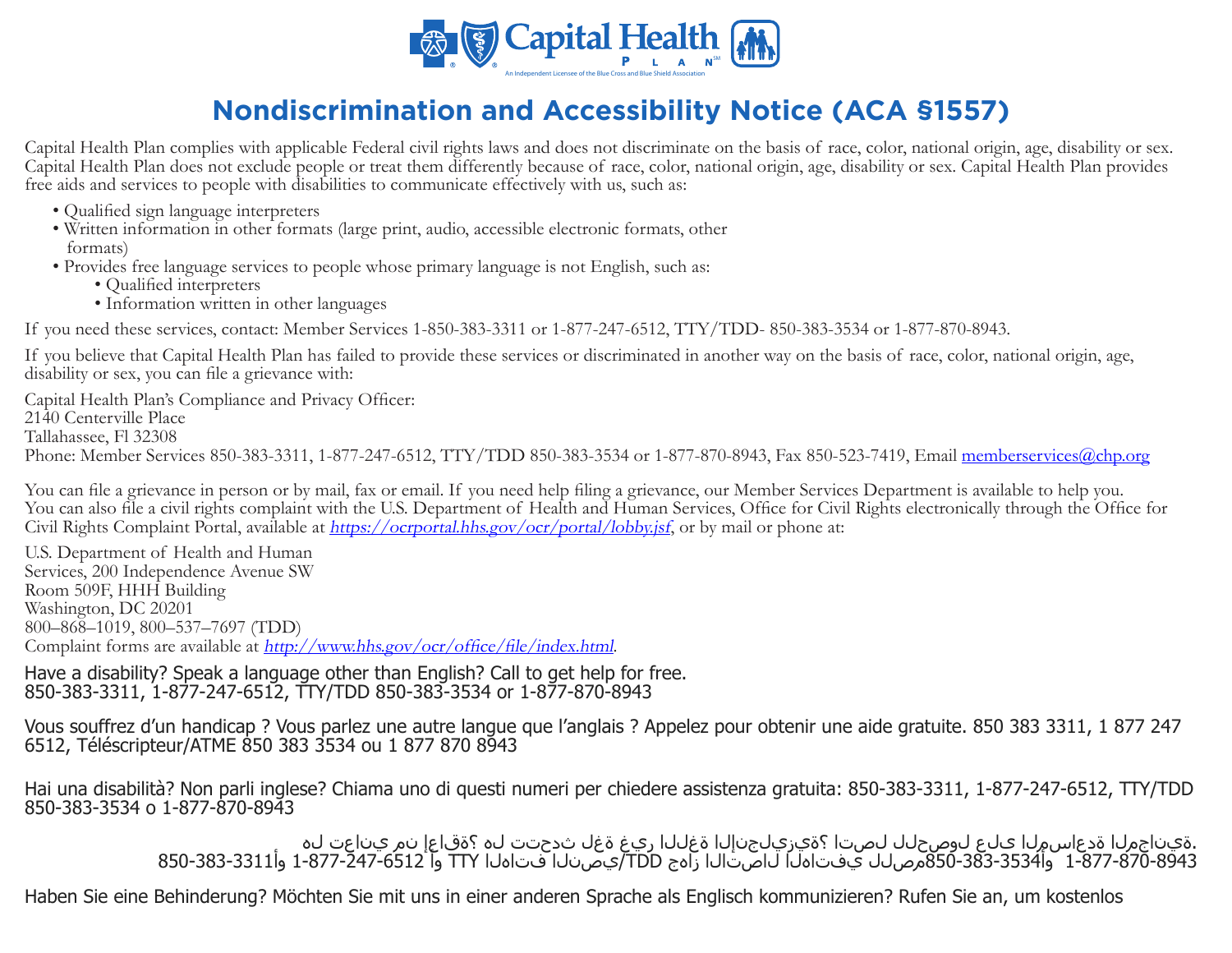

# **Nondiscrimination and Accessibility Notice (ACA §1557)**

Capital Health Plan complies with applicable Federal civil rights laws and does not discriminate on the basis of race, color, national origin, age, disability or sex. Capital Health Plan does not exclude people or treat them differently because of race, color, national origin, age, disability or sex. Capital Health Plan provides free aids and services to people with disabilities to communicate effectively with us, such as:

- Qualified sign language interpreters
- Written information in other formats (large print, audio, accessible electronic formats, other formats)
- Provides free language services to people whose primary language is not English, such as:
	- Qualified interpreters
	- Information written in other languages

If you need these services, contact: Member Services 1-850-383-3311 or 1-877-247-6512, TTY/TDD- 850-383-3534 or 1-877-870-8943.

If you believe that Capital Health Plan has failed to provide these services or discriminated in another way on the basis of race, color, national origin, age, disability or sex, you can file a grievance with:

Capital Health Plan's Compliance and Privacy Officer: 2140 Centerville Place Tallahassee, Fl 32308 Phone: Member Services 850-383-3311, 1-877-247-6512, TTY/TDD 850-383-3534 or 1-877-870-8943, Fax 850-523-7419, Email memberservices@chp.org

You can file a grievance in person or by mail, fax or email. If you need help filing a grievance, our Member Services Department is available to help you. You can also file a civil rights complaint with the U.S. Department of Health and Human Services, Office for Civil Rights electronically through the Office for Civil Rights Complaint Portal, available at *https://ocrportal.hhs.gov/ocr/portal/lobby.jsf*, or by mail or phone at:

U.S. Department of Health and Human Services, 200 Independence Avenue SW Room 509F, HHH Building Washington, DC 20201 800–868–1019, 800–537–7697 (TDD) Complaint forms are available at http://www.hhs.gov/ocr/office/file/index.html.

Have a disability? Speak a language other than English? Call to get help for free. 850-383-3311, 1-877-247-6512, TTY/TDD 850-383-3534 or 1-877-870-8943

Vous souffrez d'un handicap ? Vous parlez une autre langue que l'anglais ? Appelez pour obtenir une aide gratuite. 850 383 3311, 1 877 247 6512, Téléscripteur/ATME 850 383 3534 ou 1 877 870 8943

Hai una disabilità? Non parli inglese? Chiama uno di questi numeri per chiedere assistenza gratuita: 850-383-3311, 1-877-247-6512, TTY/TDD 850-383-3534 o 1-877-870-8943

.ةيناجملا قدعاسملا على لوصحلل لصتا ؟ةيزيلجنإلى قغللا ريغ قغل ثدحتت لـه ؟ققاعا نم يناعت له<br>1-877-870-831 وأ354-383-383مصلل يفتاهلا لاصتالا زاهج TDD/يصنال فتاهلا TTY وأ 1522-677-871 وأ331-383-383-850

Haben Sie eine Behinderung? Möchten Sie mit uns in einer anderen Sprache als Englisch kommunizieren? Rufen Sie an, um kostenlos